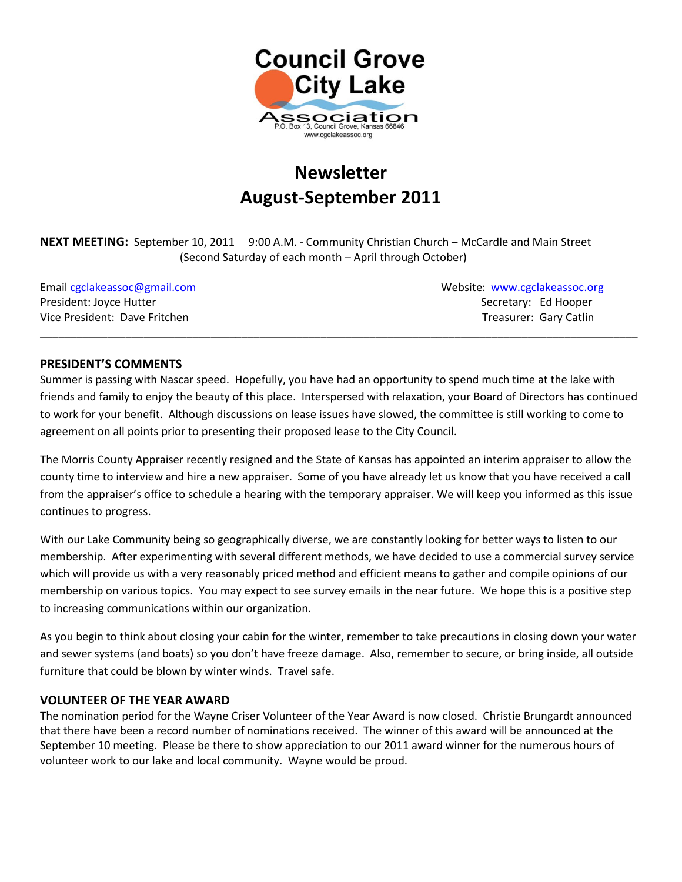

# **Newsletter August-September 2011**

**NEXT MEETING:** September 10, 2011 9:00 A.M. - Community Christian Church – McCardle and Main Street (Second Saturday of each month – April through October)

President: Joyce Hutter Secretary: Ed Hooper Secretary: Ed Hooper Vice President: Dave Fritchen Treasurer: Gary Catlin Treasurer: Gary Catlin

Email [cgclakeassoc@gmail.com](mailto:cgclakeassoc@gmail.com) Websit[e: www.cgclakeassoc.org](http://:%20%20www.cgclakeassoc.org%0d)

#### **PRESIDENT'S COMMENTS**

Summer is passing with Nascar speed. Hopefully, you have had an opportunity to spend much time at the lake with friends and family to enjoy the beauty of this place. Interspersed with relaxation, your Board of Directors has continued to work for your benefit. Although discussions on lease issues have slowed, the committee is still working to come to agreement on all points prior to presenting their proposed lease to the City Council.

\_\_\_\_\_\_\_\_\_\_\_\_\_\_\_\_\_\_\_\_\_\_\_\_\_\_\_\_\_\_\_\_\_\_\_\_\_\_\_\_\_\_\_\_\_\_\_\_\_\_\_\_\_\_\_\_\_\_\_\_\_\_\_\_\_\_\_\_\_\_\_\_\_\_\_\_\_\_\_\_\_\_\_\_\_\_\_\_\_\_\_\_\_\_\_\_\_\_

The Morris County Appraiser recently resigned and the State of Kansas has appointed an interim appraiser to allow the county time to interview and hire a new appraiser. Some of you have already let us know that you have received a call from the appraiser's office to schedule a hearing with the temporary appraiser. We will keep you informed as this issue continues to progress.

With our Lake Community being so geographically diverse, we are constantly looking for better ways to listen to our membership. After experimenting with several different methods, we have decided to use a commercial survey service which will provide us with a very reasonably priced method and efficient means to gather and compile opinions of our membership on various topics. You may expect to see survey emails in the near future. We hope this is a positive step to increasing communications within our organization.

As you begin to think about closing your cabin for the winter, remember to take precautions in closing down your water and sewer systems (and boats) so you don't have freeze damage. Also, remember to secure, or bring inside, all outside furniture that could be blown by winter winds. Travel safe.

#### **VOLUNTEER OF THE YEAR AWARD**

The nomination period for the Wayne Criser Volunteer of the Year Award is now closed. Christie Brungardt announced that there have been a record number of nominations received. The winner of this award will be announced at the September 10 meeting. Please be there to show appreciation to our 2011 award winner for the numerous hours of volunteer work to our lake and local community. Wayne would be proud.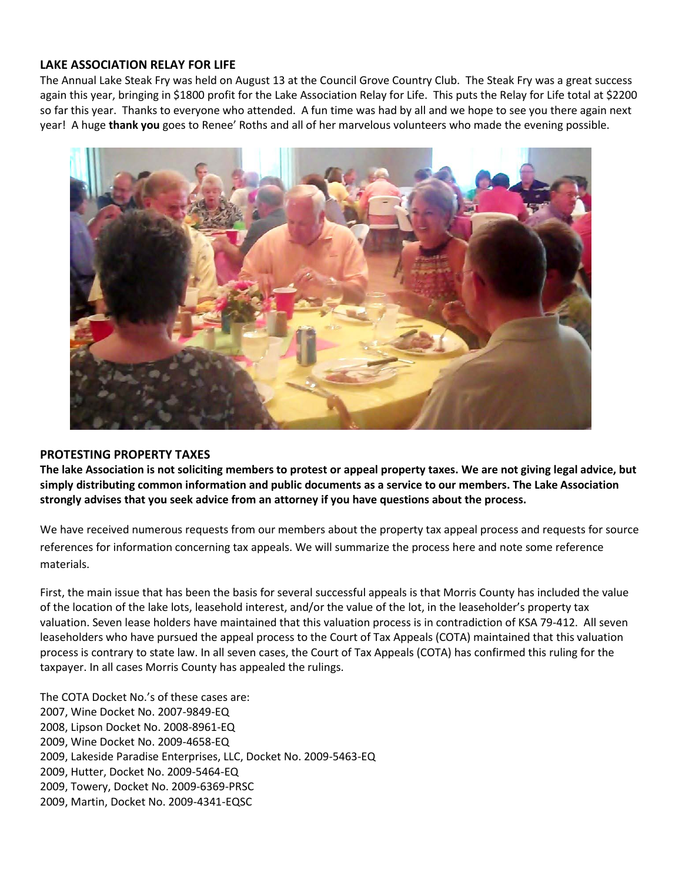#### **LAKE ASSOCIATION RELAY FOR LIFE**

The Annual Lake Steak Fry was held on August 13 at the Council Grove Country Club. The Steak Fry was a great success again this year, bringing in \$1800 profit for the Lake Association Relay for Life. This puts the Relay for Life total at \$2200 so far this year. Thanks to everyone who attended. A fun time was had by all and we hope to see you there again next year! A huge **thank you** goes to Renee' Roths and all of her marvelous volunteers who made the evening possible.



#### **PROTESTING PROPERTY TAXES**

**The lake Association is not soliciting members to protest or appeal property taxes. We are not giving legal advice, but simply distributing common information and public documents as a service to our members. The Lake Association strongly advises that you seek advice from an attorney if you have questions about the process.**

We have received numerous requests from our members about the property tax appeal process and requests for source references for information concerning tax appeals. We will summarize the process here and note some reference materials.

First, the main issue that has been the basis for several successful appeals is that Morris County has included the value of the location of the lake lots, leasehold interest, and/or the value of the lot, in the leaseholder's property tax valuation. Seven lease holders have maintained that this valuation process is in contradiction of KSA 79-412. All seven leaseholders who have pursued the appeal process to the Court of Tax Appeals (COTA) maintained that this valuation process is contrary to state law. In all seven cases, the Court of Tax Appeals (COTA) has confirmed this ruling for the taxpayer. In all cases Morris County has appealed the rulings.

The COTA Docket No.'s of these cases are: 2007, Wine Docket No. 2007-9849-EQ 2008, Lipson Docket No. 2008-8961-EQ 2009, Wine Docket No. 2009-4658-EQ 2009, Lakeside Paradise Enterprises, LLC, Docket No. 2009-5463-EQ 2009, Hutter, Docket No. 2009-5464-EQ 2009, Towery, Docket No. 2009-6369-PRSC 2009, Martin, Docket No. 2009-4341-EQSC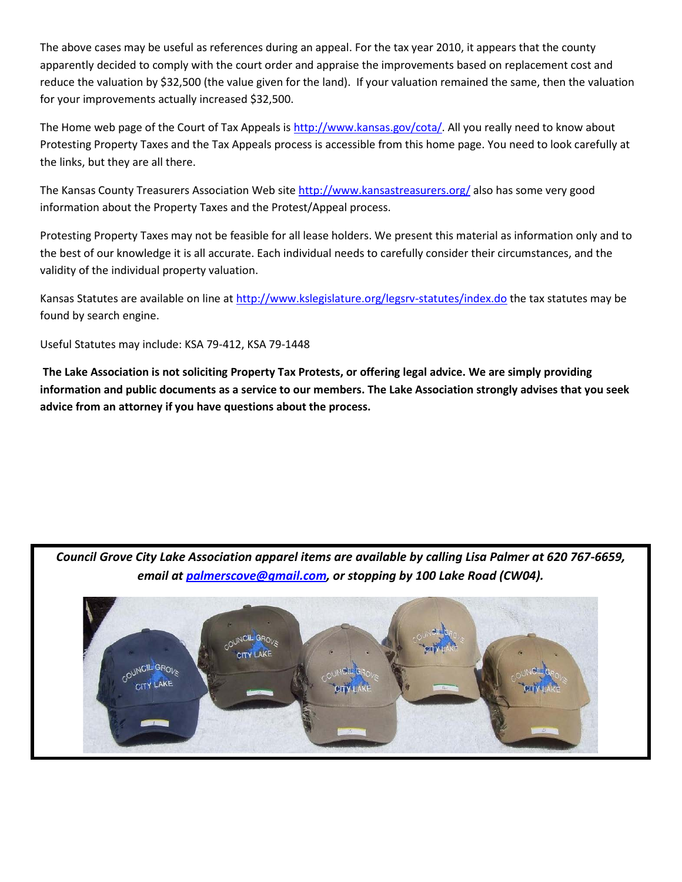The above cases may be useful as references during an appeal. For the tax year 2010, it appears that the county apparently decided to comply with the court order and appraise the improvements based on replacement cost and reduce the valuation by \$32,500 (the value given for the land). If your valuation remained the same, then the valuation for your improvements actually increased \$32,500.

The Home web page of the Court of Tax Appeals is [http://www.kansas.gov/cota/.](http://www.kansas.gov/cota/) All you really need to know about Protesting Property Taxes and the Tax Appeals process is accessible from this home page. You need to look carefully at the links, but they are all there.

The Kansas County Treasurers Association Web site<http://www.kansastreasurers.org/> also has some very good information about the Property Taxes and the Protest/Appeal process.

Protesting Property Taxes may not be feasible for all lease holders. We present this material as information only and to the best of our knowledge it is all accurate. Each individual needs to carefully consider their circumstances, and the validity of the individual property valuation.

Kansas Statutes are available on line at<http://www.kslegislature.org/legsrv-statutes/index.do> the tax statutes may be found by search engine.

Useful Statutes may include: KSA 79-412, KSA 79-1448

**The Lake Association is not soliciting Property Tax Protests, or offering legal advice. We are simply providing information and public documents as a service to our members. The Lake Association strongly advises that you seek advice from an attorney if you have questions about the process.**

*Council Grove City Lake Association apparel items are available by calling Lisa Palmer at 620 767-6659, email at [palmerscove@gmail.com,](mailto:palmerscove@gmail.com) or stopping by 100 Lake Road (CW04).*

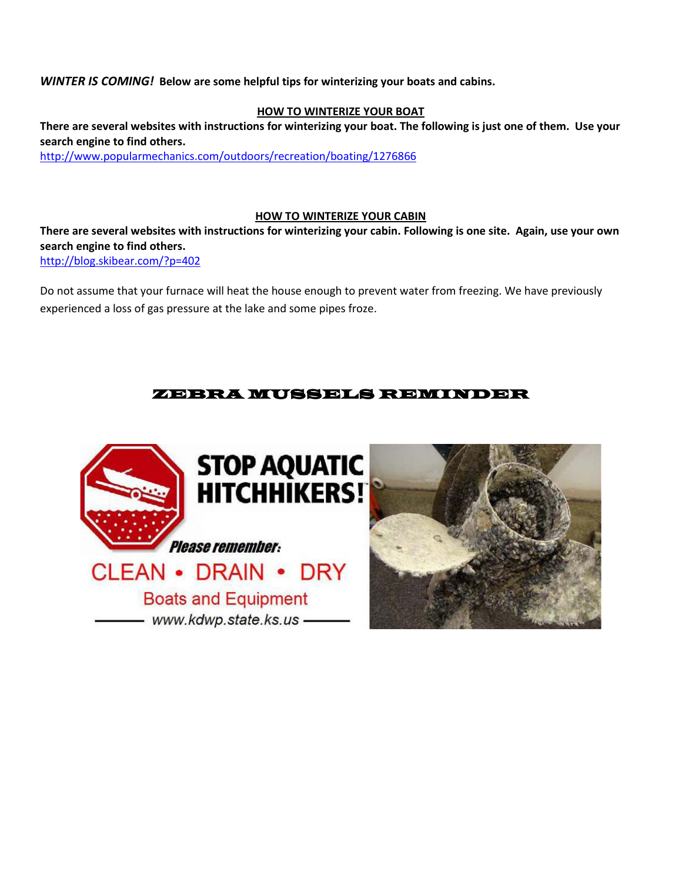*WINTER IS COMING!* **Below are some helpful tips for winterizing your boats and cabins.**

#### **HOW TO WINTERIZE YOUR BOAT**

**There are several websites with instructions for winterizing your boat. The following is just one of them. Use your search engine to find others.** <http://www.popularmechanics.com/outdoors/recreation/boating/1276866>

#### **HOW TO WINTERIZE YOUR CABIN**

**There are several websites with instructions for winterizing your cabin. Following is one site. Again, use your own search engine to find others.**

<http://blog.skibear.com/?p=402>

Do not assume that your furnace will heat the house enough to prevent water from freezing. We have previously experienced a loss of gas pressure at the lake and some pipes froze.

### ZEBRA MUSSELS REMINDER